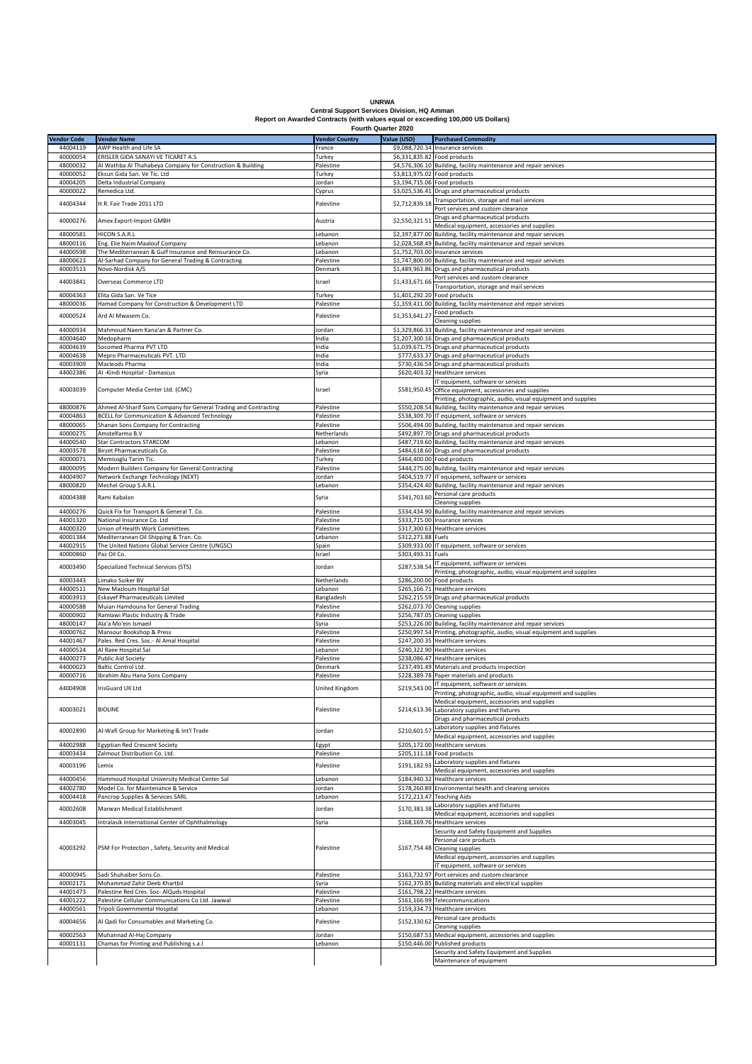| <b>UNRWA</b> |  |
|--------------|--|

## **UNRWA Central Support Services Division, HQ Amman Report on Awarded Contracts (with values equal or exceeding 100,000 US Dollars) Fourth Quarter 2020**

|                    |                                                                  | Fourth Quarter 2020   |                    |                                                                           |
|--------------------|------------------------------------------------------------------|-----------------------|--------------------|---------------------------------------------------------------------------|
| <b>Vendor Code</b> | <b>Vendor Name</b>                                               | <b>Vendor Country</b> | Value (USD)        | <b>Purchased Commodity</b>                                                |
| 44004119           | AWP Health and Life SA                                           | France                |                    | \$9,088,720.34 Insurance services                                         |
| 40000054           | ERISLER GIDA SANAYI VE TICARET A.S                               | Turkey                |                    | \$6,331,835.82 Food products                                              |
| 48000032           | Al Wathba Al Thahabeya Company for Construction & Building       | Palestine             |                    | \$4,576,306.10 Building, facility maintenance and repair services         |
| 40000052           | Eksun Gida San. Ve Tic. Ltd                                      | Turkey                |                    | \$3,813,975.02 Food products                                              |
| 40004205           | Delta Industrial Company                                         | Jordan                |                    | \$3,194,715.06 Food products                                              |
| 40000022           | Remedica Ltd.                                                    | Cyprus                |                    | \$3,025,536.41 Drugs and pharmaceutical products                          |
|                    |                                                                  |                       |                    | Transportation, storage and mail services                                 |
| 44004344           | H.R. Fair Trade 2011 LTD                                         | Palestine             | \$2,712,839.18     | Port services and custom clearance                                        |
|                    |                                                                  |                       |                    |                                                                           |
| 40000276           | Amex Export-Import GMBH                                          | Austria               | \$2,550,321.51     | Drugs and pharmaceutical products                                         |
|                    |                                                                  |                       |                    | Medical equipment, accessories and supplies                               |
| 48000581           | HICON S.A.R.L                                                    | Lebanon               |                    | \$2,397,877.00 Building, facility maintenance and repair services         |
| 48000116           | Eng. Elie Naim Maalouf Company                                   | Lebanon               |                    | \$2,028,568.49 Building, facility maintenance and repair services         |
| 44000598           | The Mediterranean & Gulf Insurance and Reinsurance Co.           | Lebanon               |                    | \$1,752,703.00 Insurance services                                         |
| 48000623           | Al-Sarhad Company for General Trading & Contracting              | Palestine             |                    | \$1,747,800.00 Building, facility maintenance and repair services         |
| 40003513           | Novo-Nordisk A/S                                                 | Denmark               |                    | \$1,489,963.86 Drugs and pharmaceutical products                          |
|                    |                                                                  |                       | \$1,433,671.66     | Port services and custom clearance                                        |
| 44003841           | Overseas Commerce LTD                                            | Israel                |                    | Transportation, storage and mail services                                 |
| 40004363           | Elita Gida San. Ve Tice                                          | Turkey                |                    | \$1,401,292.20 Food products                                              |
| 48000036           | Hamad Company for Construction & Development LTD                 | Palestine             |                    | \$1,359,411.00 Building, facility maintenance and repair services         |
|                    |                                                                  |                       |                    | Food products                                                             |
| 40000524           | Ard Al Mwasem Co.                                                | Palestine             | \$1,353,641.27     | Cleaning supplies                                                         |
| 44000934           | Mahmoud Naem Kana'an & Partner Co.                               | Jordan                |                    | \$1,329,866.33 Building, facility maintenance and repair services         |
|                    |                                                                  |                       |                    |                                                                           |
| 40004640           | Medopharm                                                        | India                 |                    | \$1,207,300.16 Drugs and pharmaceutical products                          |
| 40004639           | Socomed Pharma PVT LTD                                           | India                 |                    | \$1,039,671.75 Drugs and pharmaceutical products                          |
| 40004638           | Mepro Pharmaceuticals PVT. LTD                                   | India                 |                    | \$777,633.37 Drugs and pharmaceutical products                            |
| 40003909           | Macleods Pharma                                                  | India                 |                    | \$730,436.54 Drugs and pharmaceutical products                            |
| 44002386           | Al -Kindi Hospital - Damascus                                    | Syria                 |                    | \$620,403.32 Healthcare services                                          |
|                    |                                                                  |                       |                    | IT equipment, software or services                                        |
| 40003039           | Computer Media Center Ltd. (CMC)                                 | Israel                |                    | \$581,950.45 Office equipment, accessories and supplies                   |
|                    |                                                                  |                       |                    | Printing, photographic, audio, visual equipment and supplies              |
| 48000876           | Ahmed Al-Sharif Sons Company for General Trading and Contracting | Palestine             | \$550,208.54       | Building, facility maintenance and repair services                        |
| 40004863           | BCELL for Communication & Advanced Technology                    | Palestine             |                    | \$538,309.70 IT equipment, software or services                           |
| 48000065           | Shanan Sons Company for Contracting                              | Palestine             |                    | \$506,494.00 Building, facility maintenance and repair services           |
| 40000275           | Amstelfarma B.V                                                  | Netherlands           |                    | \$492,897.70 Drugs and pharmaceutical products                            |
| 44000540           | <b>Star Contractors STARCOM</b>                                  | Lebanon               |                    | \$487,719.60 Building, facility maintenance and repair services           |
| 40003578           | Birzet Pharmaceuticals Co.                                       | Palestine             |                    | \$484,618.60 Drugs and pharmaceutical products                            |
|                    |                                                                  |                       |                    |                                                                           |
| 40000071           | Memisoglu Tarim Tic.                                             | Turkey                |                    | \$464,400.00 Food products                                                |
| 48000095           | Modern Builders Company for General Contracting                  | Palestine             |                    | \$444,275.00 Building, facility maintenance and repair services           |
| 44004907           | Network Exchange Technology (NEXT)                               | Jordan                |                    | \$404,519.77 IT equipment, software or services                           |
| 48000820           | Mechel Group S.A.R.L                                             | Lebanon               |                    | \$354,424.40 Building, facility maintenance and repair services           |
| 40004388           | Rami Kabalan                                                     | Syria                 | \$341,703.60       | Personal care products                                                    |
|                    |                                                                  |                       |                    | Cleaning supplies                                                         |
| 44000276           | Quick Fix for Transport & General T. Co.                         | Palestine             |                    | \$334,434.90 Building, facility maintenance and repair services           |
| 44001320           | National Insurance Co. Ltd                                       | Palestine             |                    | \$333,715.00 Insurance services                                           |
| 44000320           | Union of Health Work Committees                                  | Palestine             |                    | \$317,300.63 Healthcare services                                          |
| 40001384           | Mediterranean Oil Shipping & Tran. Co.                           | Lebanon               | \$312,271.88 Fuels |                                                                           |
| 44002915           | The United Nations Global Service Centre (UNGSC)                 | Spain                 |                    | \$309,933.00 IT equipment, software or services                           |
| 40000860           | Paz Oil Co.                                                      | Israel                | \$303,493.31 Fuels |                                                                           |
|                    |                                                                  |                       |                    |                                                                           |
| 40003490           | Specialized Technical Services (STS)                             | Jordan                | \$287,538.54       | IT equipment, software or services                                        |
|                    |                                                                  |                       |                    | Printing, photographic, audio, visual equipment and supplies              |
| 40003443           | Limako Suiker BV                                                 | Netherlands           |                    | \$286,200.00 Food products                                                |
| 44000511           | New Mazloum Hospital Sal                                         | Lebanon               |                    | \$265,166.71 Healthcare services                                          |
| 40003913           | <b>Eskayef Pharmaceuticals Limited</b>                           | Bangladesh            |                    | \$262,215.59 Drugs and pharmaceutical products                            |
| 40000588           | Muian Hamdouna for General Trading                               | Palestine             |                    | \$262,073.70 Cleaning supplies                                            |
| 40000902           | Ramlawi Plastic Industry & Trade                                 | Palestine             |                    | \$256,787.05 Cleaning supplies                                            |
| 48000147           | Ala'a Mo'ein Ismaeil                                             | Syria                 |                    | \$253,226.00 Building, facility maintenance and repair services           |
| 40000762           | Mansour Bookshop & Press                                         | Palestine             |                    | \$250,997.54 Printing, photographic, audio, visual equipment and supplies |
| 44001467           | Pales. Red Cres. Soc.- Al Amal Hospital                          | Palestine             |                    | \$247,200.35 Healthcare services                                          |
| 44000524           | Al Raee Hospital Sal                                             | Lebanon               |                    | \$240,322.90 Healthcare services                                          |
| 44000273           | <b>Public Aid Society</b>                                        | Palestine             |                    | \$238,086.47 Healthcare services                                          |
| 44000023           |                                                                  |                       |                    |                                                                           |
|                    | Baltic Control Ltd.<br>Ibrahim Abu Hana Sons Company             | Denmark               |                    | \$237,491.49 Materials and products inspection                            |
| 40000716           |                                                                  | Palestine             |                    | \$228,389.78 Paper materials and products                                 |
| 44004908           | IrisGuard UK Ltd                                                 | United Kingdom        | \$219,543.00       | IT equipment, software or services                                        |
|                    |                                                                  |                       |                    | Printing, photographic, audio, visual equipment and supplies              |
|                    |                                                                  |                       |                    | Medical equipment, accessories and supplies                               |
| 40003021           | <b>BIOLINE</b>                                                   | Palestine             |                    | \$214,613.36 Laboratory supplies and fixtures                             |
|                    |                                                                  |                       |                    | Drugs and pharmaceutical products                                         |
| 40002890           | Al-Wafi Group for Marketing & Int'l Trade                        | Jordan                | \$210,601.5        | Laboratory supplies and fixtures                                          |
|                    |                                                                  |                       |                    | Medical equipment, accessories and supplies                               |
| 44002988           | Egyptian Red Crescent Society                                    | Egypt                 | \$205,172.00       | Healthcare services                                                       |
| 40003434           | Zalmout Distribution Co. Ltd.                                    | Palestine             |                    | \$205,111.18 Food products                                                |
|                    |                                                                  |                       |                    | Laboratory supplies and fixtures                                          |
| 40003196           | Lemix                                                            | Palestine             | \$191,182.9        | Medical equipment, accessories and supplies                               |
| 44000456           | Hammoud Hospital University Medical Center Sal                   | Lebanon               | \$184,940.32       | Healthcare services                                                       |
| 44002780           | Model Co. for Maintenance & Service                              | Jordan                |                    | \$178,260.89 Environmental health and cleaning services                   |
| 40004418           | Pancrop Supplies & Services SARL                                 | Lebanon               | \$172,213.47       | <b>Teaching Aids</b>                                                      |
|                    |                                                                  |                       |                    | Laboratory supplies and fixtures                                          |
| 40002608           | Marwan Medical Establishment                                     | Jordan                | \$170,383.38       |                                                                           |
|                    |                                                                  |                       |                    | Medical equipment, accessories and supplies                               |
| 44003045           | Intralasik International Center of Ophthalmology                 | Syria                 |                    | \$168,169.76 Healthcare services                                          |
|                    |                                                                  |                       |                    | Security and Safety Equipment and Supplies                                |
|                    |                                                                  |                       |                    | Personal care products                                                    |
| 40003292           | PSM For Protection, Safety, Security and Medical                 | Palestine             |                    | \$167,754.48 Cleaning supplies                                            |
|                    |                                                                  |                       |                    | Medical equipment, accessories and supplies                               |
|                    |                                                                  |                       |                    | T equipment, software or services                                         |
| 40000945           | Sadi Shuhaiber Sons Co.                                          | Palestine             | \$163,732.97       | Port services and custom clearance                                        |
| 40002171           | Mohammad Zahir Deeb Khartbil                                     | Syria                 |                    | \$162,370.85 Building materials and electrical supplies                   |
| 44001473           | Palestine Red Cres. Soc- AlQuds Hospital                         | Palestine             | \$161,798.22       | Healthcare services                                                       |
| 44001222           | Palestine Cellular Communications Co Ltd. Jawwal                 | Palestine             | \$161,166.99       | Telecommunications                                                        |
| 44000561           | Tripoli Governmental Hospital                                    |                       |                    | \$159,334.73 Healthcare services                                          |
|                    |                                                                  | Lebanon               |                    |                                                                           |
| 40004656           | Al Qadi for Consumables and Marketing Co.                        | Palestine             | \$152,330.62       | Personal care products                                                    |
|                    |                                                                  |                       |                    | Cleaning supplies                                                         |
| 40002563           | Muhannad Al-Haj Company                                          | Jordan                | \$150,687.53       | Medical equipment, accessories and supplies                               |
| 40001131           | Chamas for Printing and Publishing s.a.l                         | Lebanon               |                    | \$150,446.00 Published products                                           |
|                    |                                                                  |                       |                    | Security and Safety Equipment and Supplies                                |
|                    |                                                                  |                       |                    | Maintenance of equipment                                                  |
|                    |                                                                  |                       |                    |                                                                           |